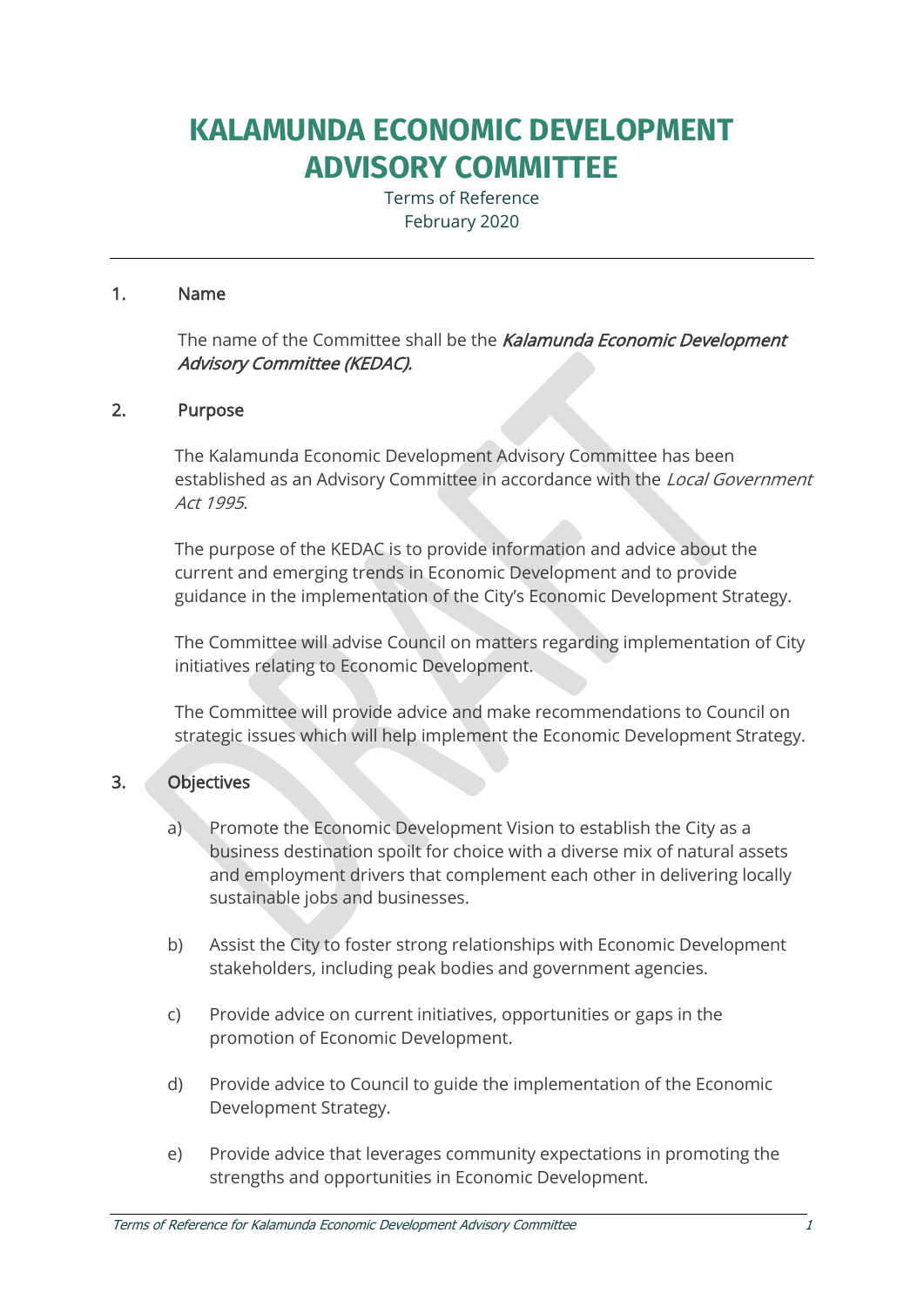# **KALAMUNDA ECONOMIC DEVELOPMENT ADVISORY COMMITTEE**

Terms of Reference February 2020

#### 1. Name

The name of the Committee shall be the Kalamunda Economic Development Advisory Committee (KEDAC).

#### 2. Purpose

The Kalamunda Economic Development Advisory Committee has been established as an Advisory Committee in accordance with the Local Government Act 1995.

The purpose of the KEDAC is to provide information and advice about the current and emerging trends in Economic Development and to provide guidance in the implementation of the City's Economic Development Strategy.

The Committee will advise Council on matters regarding implementation of City initiatives relating to Economic Development.

The Committee will provide advice and make recommendations to Council on strategic issues which will help implement the Economic Development Strategy.

## 3. Objectives

- a) Promote the Economic Development Vision to establish the City as a business destination spoilt for choice with a diverse mix of natural assets and employment drivers that complement each other in delivering locally sustainable jobs and businesses.
- b) Assist the City to foster strong relationships with Economic Development stakeholders, including peak bodies and government agencies.
- c) Provide advice on current initiatives, opportunities or gaps in the promotion of Economic Development.
- d) Provide advice to Council to guide the implementation of the Economic Development Strategy.
- e) Provide advice that leverages community expectations in promoting the strengths and opportunities in Economic Development.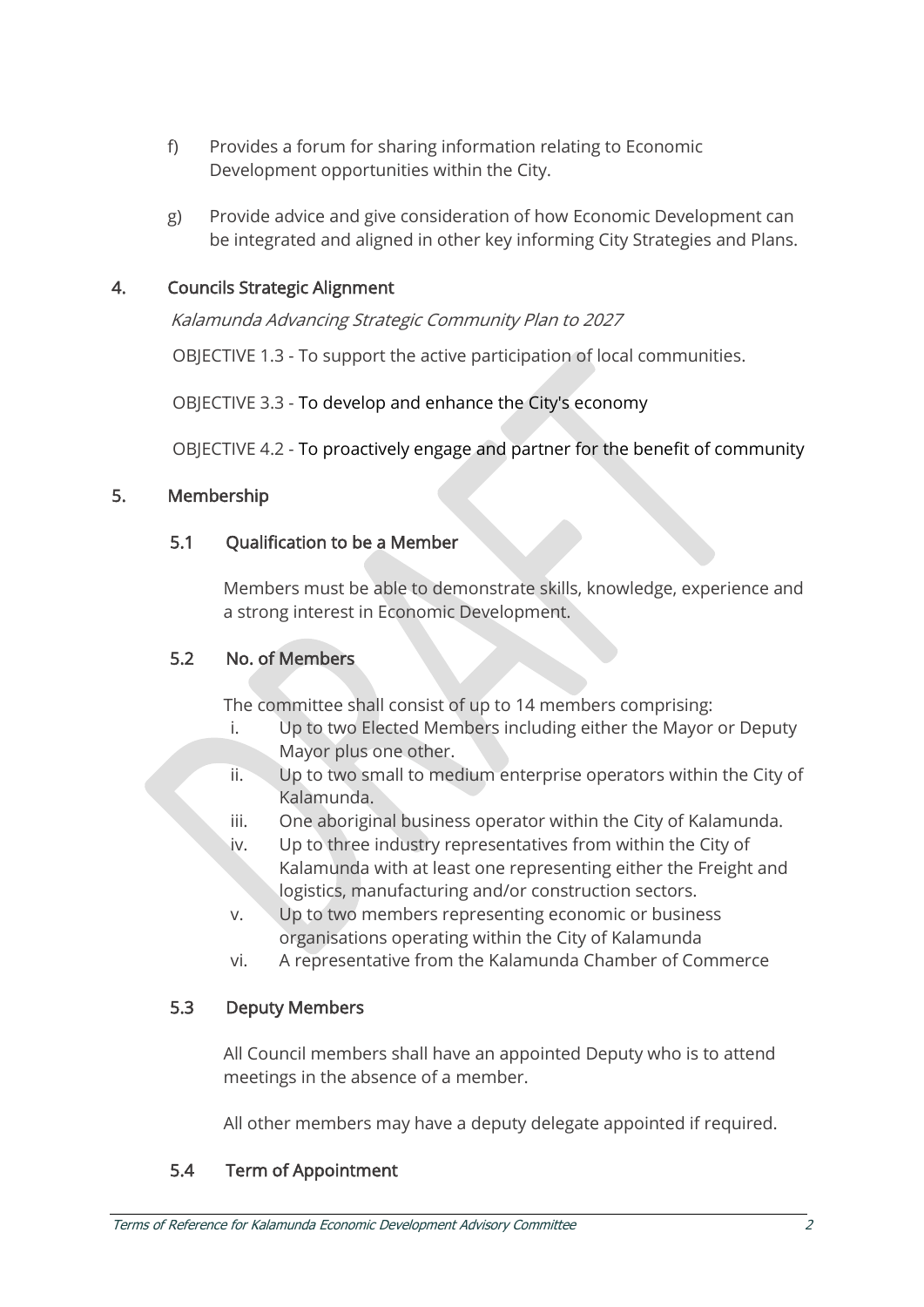- f) Provides a forum for sharing information relating to Economic Development opportunities within the City.
- g) Provide advice and give consideration of how Economic Development can be integrated and aligned in other key informing City Strategies and Plans.

# 4. Councils Strategic Alignment

Kalamunda Advancing Strategic Community Plan to 2027

OBJECTIVE 1.3 - To support the active participation of local communities.

OBJECTIVE 3.3 - To develop and enhance the City's economy

OBJECTIVE 4.2 - To proactively engage and partner for the benefit of community

## 5. Membership

#### 5.1 Qualification to be a Member

Members must be able to demonstrate skills, knowledge, experience and a strong interest in Economic Development.

#### 5.2 No. of Members

The committee shall consist of up to 14 members comprising:

- i. Up to two Elected Members including either the Mayor or Deputy Mayor plus one other.
- ii. Up to two small to medium enterprise operators within the City of Kalamunda.
- iii. One aboriginal business operator within the City of Kalamunda.
- iv. Up to three industry representatives from within the City of Kalamunda with at least one representing either the Freight and logistics, manufacturing and/or construction sectors.
- v. Up to two members representing economic or business organisations operating within the City of Kalamunda
- vi. A representative from the Kalamunda Chamber of Commerce

## 5.3 Deputy Members

All Council members shall have an appointed Deputy who is to attend meetings in the absence of a member.

All other members may have a deputy delegate appointed if required.

## 5.4 Term of Appointment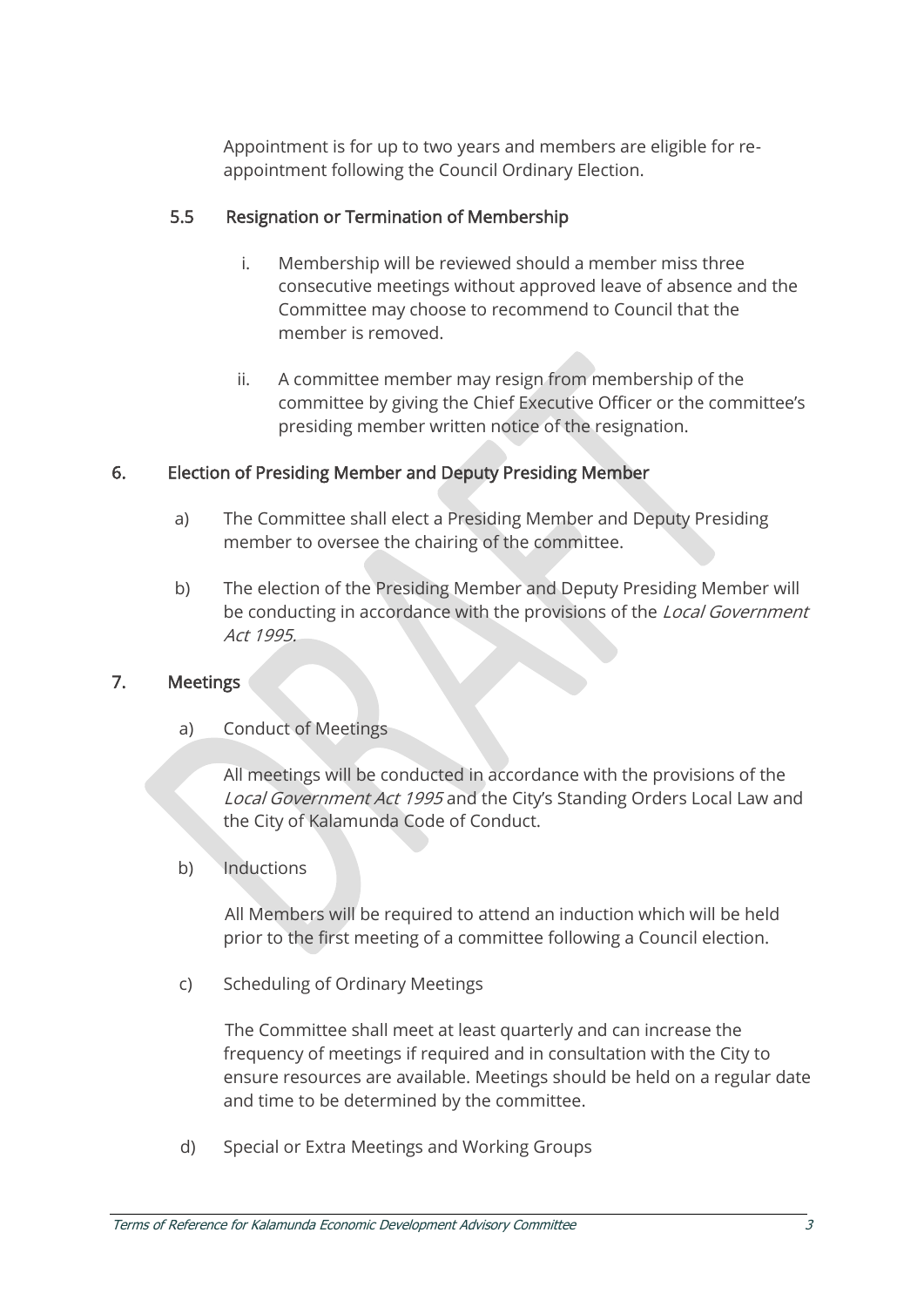Appointment is for up to two years and members are eligible for reappointment following the Council Ordinary Election.

#### 5.5 Resignation or Termination of Membership

- i. Membership will be reviewed should a member miss three consecutive meetings without approved leave of absence and the Committee may choose to recommend to Council that the member is removed.
- ii. A committee member may resign from membership of the committee by giving the Chief Executive Officer or the committee's presiding member written notice of the resignation.

#### 6. Election of Presiding Member and Deputy Presiding Member

- a) The Committee shall elect a Presiding Member and Deputy Presiding member to oversee the chairing of the committee.
- b) The election of the Presiding Member and Deputy Presiding Member will be conducting in accordance with the provisions of the Local Government Act 1995.

#### 7. Meetings

a) Conduct of Meetings

All meetings will be conducted in accordance with the provisions of the Local Government Act 1995 and the City's Standing Orders Local Law and the City of Kalamunda Code of Conduct.

b) Inductions

All Members will be required to attend an induction which will be held prior to the first meeting of a committee following a Council election.

c) Scheduling of Ordinary Meetings

The Committee shall meet at least quarterly and can increase the frequency of meetings if required and in consultation with the City to ensure resources are available. Meetings should be held on a regular date and time to be determined by the committee.

d) Special or Extra Meetings and Working Groups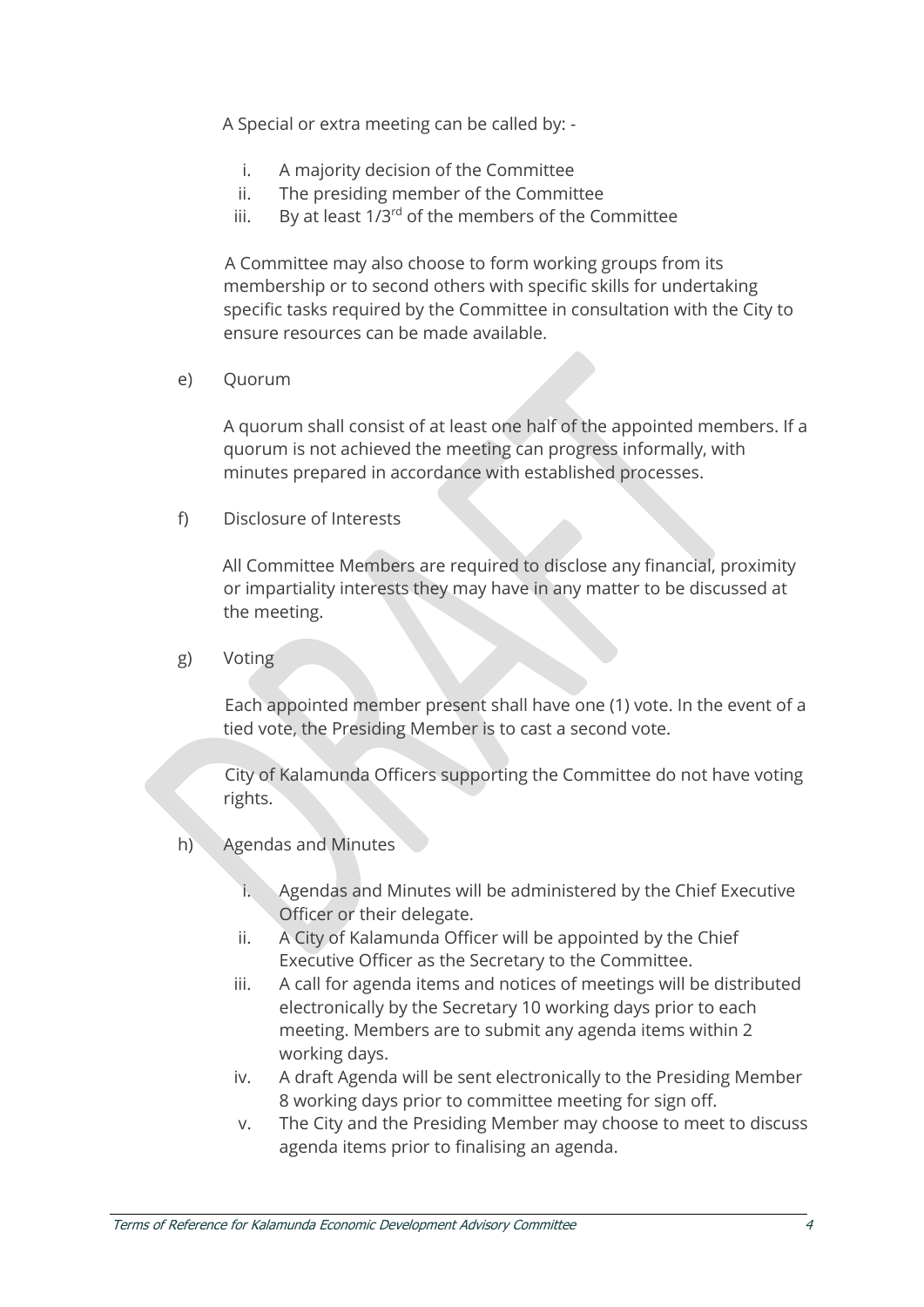A Special or extra meeting can be called by: -

- i. A majority decision of the Committee
- ii. The presiding member of the Committee
- iii. By at least  $1/3^{rd}$  of the members of the Committee

A Committee may also choose to form working groups from its membership or to second others with specific skills for undertaking specific tasks required by the Committee in consultation with the City to ensure resources can be made available.

e) Quorum

A quorum shall consist of at least one half of the appointed members. If a quorum is not achieved the meeting can progress informally, with minutes prepared in accordance with established processes.

f) Disclosure of Interests

All Committee Members are required to disclose any financial, proximity or impartiality interests they may have in any matter to be discussed at the meeting.

g) Voting

Each appointed member present shall have one (1) vote. In the event of a tied vote, the Presiding Member is to cast a second vote.

City of Kalamunda Officers supporting the Committee do not have voting rights.

- h) Agendas and Minutes
	- i. Agendas and Minutes will be administered by the Chief Executive Officer or their delegate.
	- ii. A City of Kalamunda Officer will be appointed by the Chief Executive Officer as the Secretary to the Committee.
	- iii. A call for agenda items and notices of meetings will be distributed electronically by the Secretary 10 working days prior to each meeting. Members are to submit any agenda items within 2 working days.
	- iv. A draft Agenda will be sent electronically to the Presiding Member 8 working days prior to committee meeting for sign off.
	- v. The City and the Presiding Member may choose to meet to discuss agenda items prior to finalising an agenda.